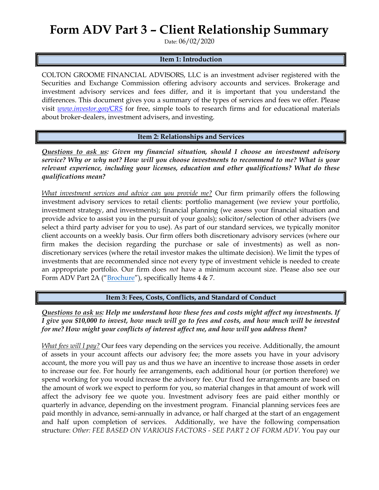## **Form ADV Part 3 – Client Relationship Summary**

Date: 06/02/2020

## **Item 1: Introduction**

COLTON GROOME FINANCIAL ADVISORS, LLC is an investment adviser registered with the Securities and Exchange Commission offering advisory accounts and services. Brokerage and investment advisory services and fees differ, and it is important that you understand the differences. This document gives you a summary of the types of services and fees we offer. Please visit *[www.investor.gov/CRS](http://www.investor.gov/CRS)* for free, simple tools to research firms and for educational materials about broker-dealers, investment advisers, and investing.

**Item 2: Relationships and Services**

*Questions to ask us: Given my financial situation, should I choose an investment advisory service? Why or why not? How will you choose investments to recommend to me? What is your relevant experience, including your licenses, education and other qualifications? What do these qualifications mean?*

*What investment services and advice can you provide me?* Our firm primarily offers the following investment advisory services to retail clients: portfolio management (we review your portfolio, investment strategy, and investments); financial planning (we assess your financial situation and provide advice to assist you in the pursuit of your goals); solicitor/selection of other advisers (we select a third party adviser for you to use). As part of our standard services, we typically monitor client accounts on a weekly basis. Our firm offers both discretionary advisory services (where our firm makes the decision regarding the purchase or sale of investments) as well as nondiscretionary services (where the retail investor makes the ultimate decision). We limit the types of investments that are recommended since not every type of investment vehicle is needed to create an appropriate portfolio. Our firm does *not* have a minimum account size. Please also see our Form ADV Part 2A ("[Brochure](https://adviserinfo.sec.gov/firm/summary/128365)"), specifically Items 4 & 7.

**Item 3: Fees, Costs, Conflicts, and Standard of Conduct** 

*Questions to ask us: Help me understand how these fees and costs might affect my investments. If I give you \$10,000 to invest, how much will go to fees and costs, and how much will be invested for me? How might your conflicts of interest affect me, and how will you address them?* 

*What fees will I pay?* Our fees vary depending on the services you receive. Additionally, the amount of assets in your account affects our advisory fee; the more assets you have in your advisory account, the more you will pay us and thus we have an incentive to increase those assets in order to increase our fee. For hourly fee arrangements, each additional hour (or portion therefore) we spend working for you would increase the advisory fee. Our fixed fee arrangements are based on the amount of work we expect to perform for you, so material changes in that amount of work will affect the advisory fee we quote you. Investment advisory fees are paid either monthly or quarterly in advance, depending on the investment program. Financial planning services fees are paid monthly in advance, semi-annually in advance, or half charged at the start of an engagement and half upon completion of services. Additionally, we have the following compensation structure: *Other: FEE BASED ON VARIOUS FACTORS - SEE PART 2 OF FORM ADV.* You pay our